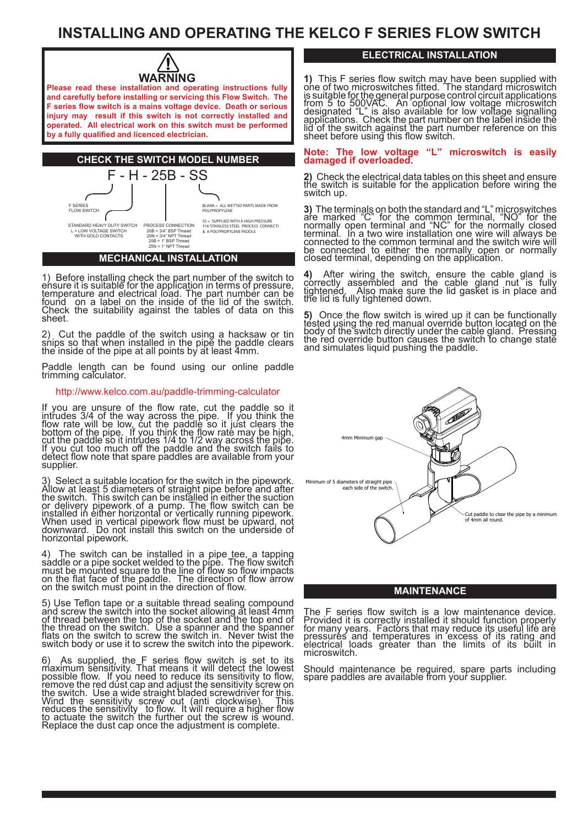# **INSTALLING AND OPERATING THE KELCO F SERIES FLOW SWITCH**



**Please read these installation and operating instructions fully and carefully before installing or servicing this Flow Switch. The F series flow switch is a mains voltage device. Death or serious injury may result if this switch is not correctly installed and operated. All electrical work on this switch must be performed by a fully qualified and licenced electrician.**



1) Before installing check the part number of the switch to ensure it is suitable for the applica<u>ti</u>on in terms of pressure, temperature and electrical load. The part number can be found on a label on the inside of the lid of the switch. Check the suitability against the tables of data on this sheet.

2) Cut the paddle of the switch using a hacksaw or tin snips so that when installed in the pipe the paddle clears the inside of the pipe at all points by at least 4mm.

Paddle length can be found using our online paddle trimming calculator.

#### http://www.kelco.com.au/paddle-trimming-calculator

If you are unsure of the flow rate, cut the paddle so it intrudes 3/4 of the way across the pipe. If you think the flow rate will be low, cut the paddle so it just clears the bottom of the pipe. If you think the flow rate may be high, cut the paddle so it intrudes 1/4 to 1/2 way across the pipe. If you cut too much off the paddle and the switch fails to detect flow note that spare paddles are available from your supplier.

3) Select a suitable location for the switch in the pipework. Allow at lea<u>st</u> 5 diameters of straight pipe before and after the switch. This switch can be installed in either the suction or delivery pipework of a pump. The flow switch can be installed in either horizontal or vertically running pipework. When used in vertical pipework flow must be upward, not downward. Do not install this switch on the underside of horizontal pipework.

4) The switch can be installed in a pipe tee, a tapping saddle or a pipe socket welded to the pipe. The flow switch must be mounted square to the <u>li</u>ne of flow so flow impacts on the flat face of the paddle. The direction of flow arrow on the switch must point in the direction of flow.

5) Use Teflon tape or a suitable thread sealing compound and screw the switch into the socket allowing at least 4mm of thread between the top of the socket and the top end of the thread on the switch. Use a spanner and the spanner flats on the switch to screw the switch in. Never twist the switch body or use it to screw the switch into the pipework.

6) As supplied, the F series flow switch is set to its maximum sensitivity. That means it will detect the lowest possible flow. If you need to reduce its sensitivity to flow, remove the red dust cap and adjust the sensitivity screw on the switch. Use a wide straight bladed screwdriver for <u>th</u>is. Wind the sensitivity screw out (anti clockwise). This reduces the sensitivity,to flow. It will require a higher flow to actuate the switch the further out the screw is wound. Replace the dust cap once the adjustment is complete.

## **ELECTRICAL INSTALLATION**

**1)** This F series flow switch may have been supplied with one of two microswitch is suitable for the general purpose control circuit applications from 5 to 500VAC. An optional low voltage microswitch designated "L" is also available for low voltage signalling applications. Check the part number on the label inside the lid of the switch against the part number reference on this sheet before using this flow switch.

#### Note: The low voltage **"L" microswitch is easily damaged if overloaded.**

**2)** Check the electrical data tables on this sheet and ensure the switch is suitable for the application before wiring the switch up.

**3)** The terminals on both the standard and "L" microswitches are marked "C" for the common terminal, "NO" for the normally open terminal and "NC" for the normally closed terminal. In a two wire installation one wire will always be connected to the common terminal and the switch wire will be connected to either the normally open or normally closed terminal, depending on the application.

**4)** After wiring the switch, ensure the cable gland is<br>correctly assembled and the cable gland nut is fully tightened. Also make sure the lid gasket is in place and the lid is fully tightened down.

**5)** Once the flow switch is wired up it can be functionally tested using the red manual override button located on the body of the switch directly under the cable gland. Pressing the red override button causes the switch to change state and simulates liquid pushing the paddle.



### **MAINTENANCE**

The F series flow switch is a low maintenance device. Provided it is correctly installed it should function properly for many years. Factors that may reduce its useful life are pressures and temperatures in excess of its rating and electrical loads greater than the limits of its built in microswitch.

Should maintenance be required, spare parts including spare paddles are available from your supplier.